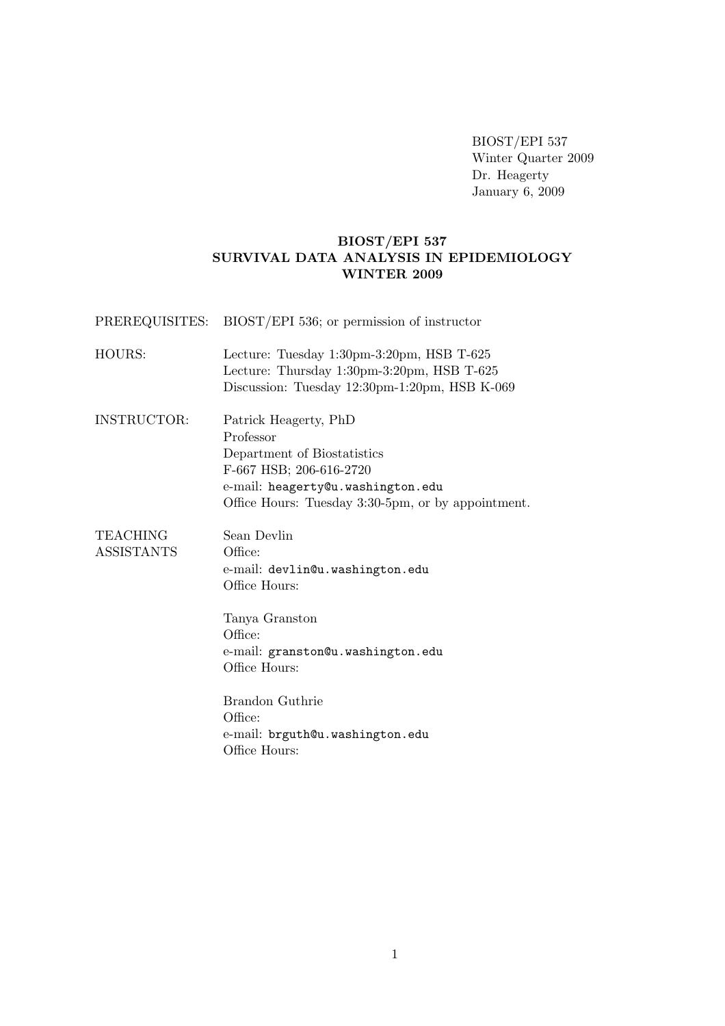BIOST/EPI 537 Winter Quarter 2009 Dr. Heagerty January 6, 2009

## BIOST/EPI 537 SURVIVAL DATA ANALYSIS IN EPIDEMIOLOGY WINTER 2009

PREREQUISITES: BIOST/EPI 536; or permission of instructor

- HOURS: Lecture: Tuesday 1:30pm-3:20pm, HSB T-625 Lecture: Thursday 1:30pm-3:20pm, HSB T-625 Discussion: Tuesday 12:30pm-1:20pm, HSB K-069
- INSTRUCTOR: Patrick Heagerty, PhD Professor Department of Biostatistics F-667 HSB; 206-616-2720 e-mail: heagerty@u.washington.edu Office Hours: Tuesday 3:30-5pm, or by appointment.

TEACHING Sean Devlin ASSISTANTS Office: e-mail: devlin@u.washington.edu Office Hours:

> Tanya Granston Office: e-mail: granston@u.washington.edu Office Hours:

Brandon Guthrie Office: e-mail: brguth@u.washington.edu Office Hours: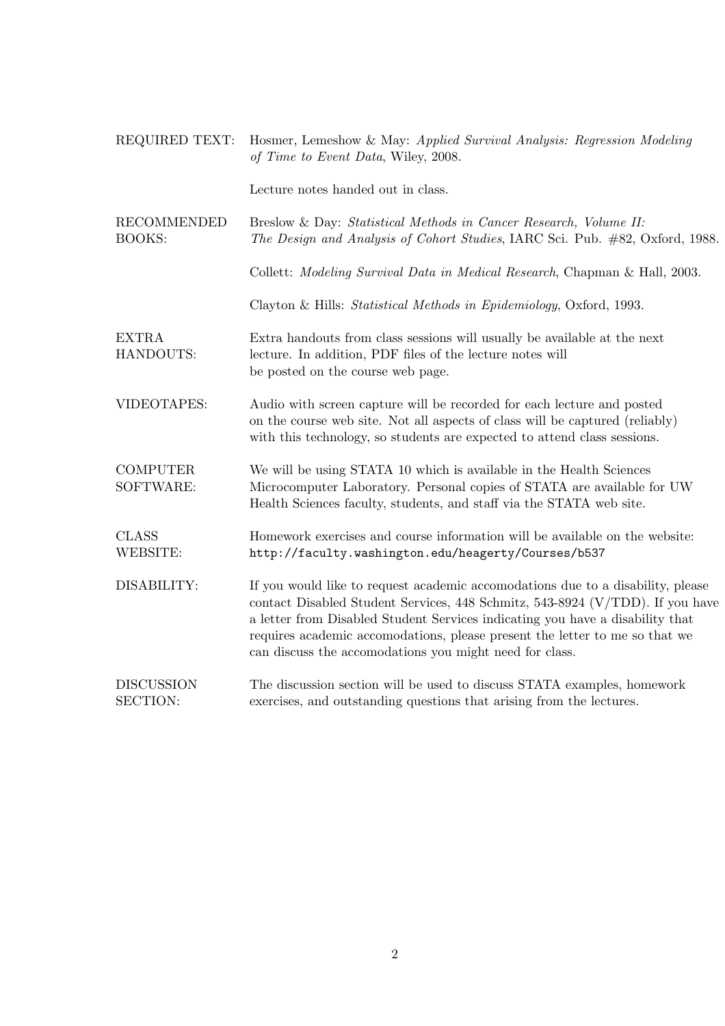| REQUIRED TEXT:                      | Hosmer, Lemeshow & May: Applied Survival Analysis: Regression Modeling<br>of Time to Event Data, Wiley, 2008.                                                                                                                                                                                                                                                                               |  |
|-------------------------------------|---------------------------------------------------------------------------------------------------------------------------------------------------------------------------------------------------------------------------------------------------------------------------------------------------------------------------------------------------------------------------------------------|--|
|                                     | Lecture notes handed out in class.                                                                                                                                                                                                                                                                                                                                                          |  |
| <b>RECOMMENDED</b><br><b>BOOKS:</b> | Breslow & Day: Statistical Methods in Cancer Research, Volume II:<br>The Design and Analysis of Cohort Studies, IARC Sci. Pub. #82, Oxford, 1988.                                                                                                                                                                                                                                           |  |
|                                     | Collett: <i>Modeling Survival Data in Medical Research</i> , Chapman & Hall, 2003.                                                                                                                                                                                                                                                                                                          |  |
|                                     | Clayton & Hills: Statistical Methods in Epidemiology, Oxford, 1993.                                                                                                                                                                                                                                                                                                                         |  |
| <b>EXTRA</b><br>HANDOUTS:           | Extra handouts from class sessions will usually be available at the next<br>lecture. In addition, PDF files of the lecture notes will<br>be posted on the course web page.                                                                                                                                                                                                                  |  |
| VIDEOTAPES:                         | Audio with screen capture will be recorded for each lecture and posted<br>on the course web site. Not all aspects of class will be captured (reliably)<br>with this technology, so students are expected to attend class sessions.                                                                                                                                                          |  |
| <b>COMPUTER</b><br>SOFTWARE:        | We will be using STATA 10 which is available in the Health Sciences<br>Microcomputer Laboratory. Personal copies of STATA are available for UW<br>Health Sciences faculty, students, and staff via the STATA web site.                                                                                                                                                                      |  |
| <b>CLASS</b><br><b>WEBSITE:</b>     | Homework exercises and course information will be available on the website:<br>http://faculty.washington.edu/heagerty/Courses/b537                                                                                                                                                                                                                                                          |  |
| DISABILITY:                         | If you would like to request academic accomodations due to a disability, please<br>contact Disabled Student Services, 448 Schmitz, 543-8924 (V/TDD). If you have<br>a letter from Disabled Student Services indicating you have a disability that<br>requires academic accomodations, please present the letter to me so that we<br>can discuss the accomodations you might need for class. |  |
| <b>DISCUSSION</b><br>SECTION:       | The discussion section will be used to discuss STATA examples, homework<br>exercises, and outstanding questions that arising from the lectures.                                                                                                                                                                                                                                             |  |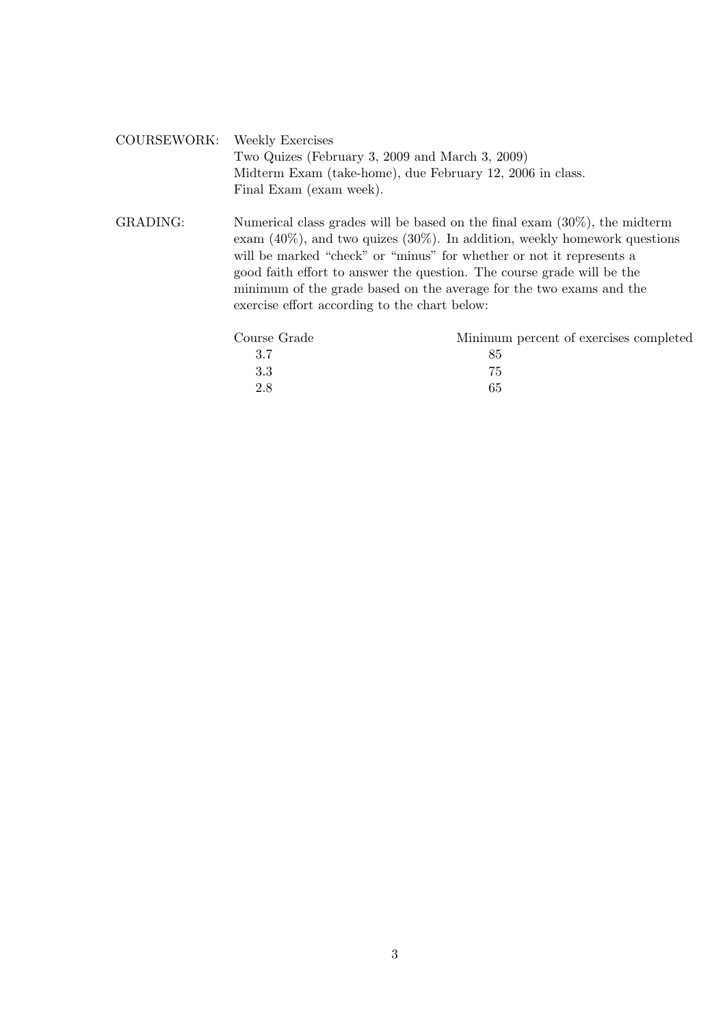| COURSEWORK: Weekly Exercises |                                                           |
|------------------------------|-----------------------------------------------------------|
|                              | Two Quizes (February 3, 2009 and March 3, 2009)           |
|                              | Midterm Exam (take-home), due February 12, 2006 in class. |
|                              | Final Exam (exam week).                                   |

GRADING: Numerical class grades will be based on the final exam (30%), the midterm exam (40%), and two quizes (30%). In addition, weekly homework questions will be marked "check" or "minus" for whether or not it represents a good faith effort to answer the question. The course grade will be the minimum of the grade based on the average for the two exams and the exercise effort according to the chart below:

| Minimum percent of exercises completed |
|----------------------------------------|
|                                        |
| 75                                     |
| 65                                     |
|                                        |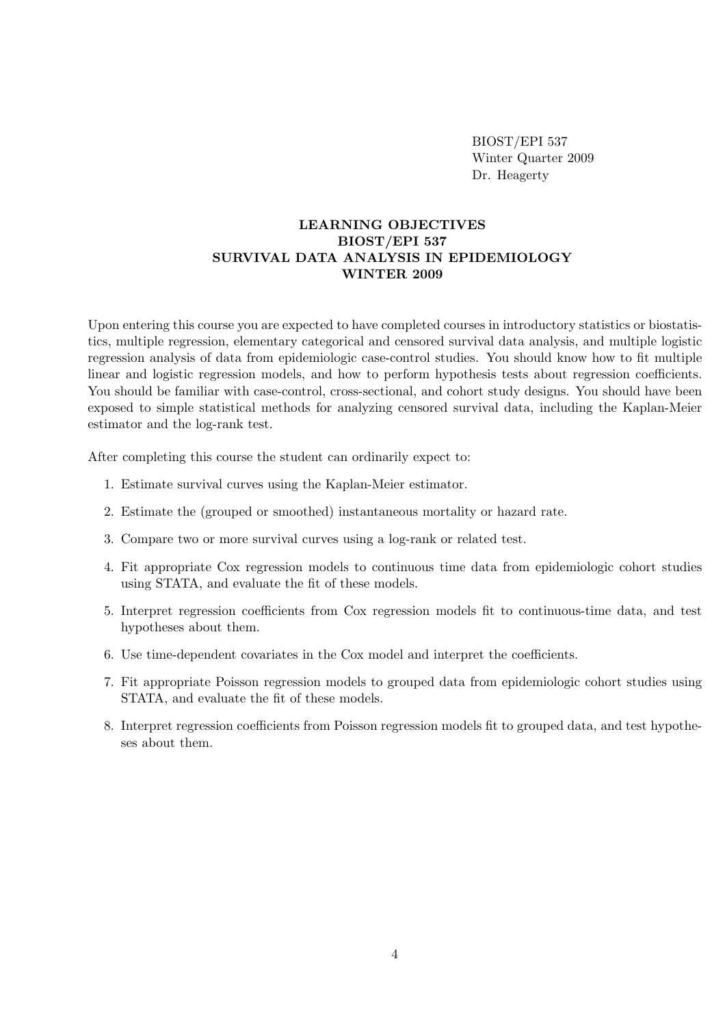BIOST/EPI 537 Winter Quarter 2009 Dr. Heagerty

## LEARNING OBJECTIVES BIOST/EPI 537 SURVIVAL DATA ANALYSIS IN EPIDEMIOLOGY WINTER 2009

Upon entering this course you are expected to have completed courses in introductory statistics or biostatistics, multiple regression, elementary categorical and censored survival data analysis, and multiple logistic regression analysis of data from epidemiologic case-control studies. You should know how to fit multiple linear and logistic regression models, and how to perform hypothesis tests about regression coefficients. You should be familiar with case-control, cross-sectional, and cohort study designs. You should have been exposed to simple statistical methods for analyzing censored survival data, including the Kaplan-Meier estimator and the log-rank test.

After completing this course the student can ordinarily expect to:

- 1. Estimate survival curves using the Kaplan-Meier estimator.
- 2. Estimate the (grouped or smoothed) instantaneous mortality or hazard rate.
- 3. Compare two or more survival curves using a log-rank or related test.
- 4. Fit appropriate Cox regression models to continuous time data from epidemiologic cohort studies using STATA, and evaluate the fit of these models.
- 5. Interpret regression coefficients from Cox regression models fit to continuous-time data, and test hypotheses about them.
- 6. Use time-dependent covariates in the Cox model and interpret the coefficients.
- 7. Fit appropriate Poisson regression models to grouped data from epidemiologic cohort studies using STATA, and evaluate the fit of these models.
- 8. Interpret regression coefficients from Poisson regression models fit to grouped data, and test hypotheses about them.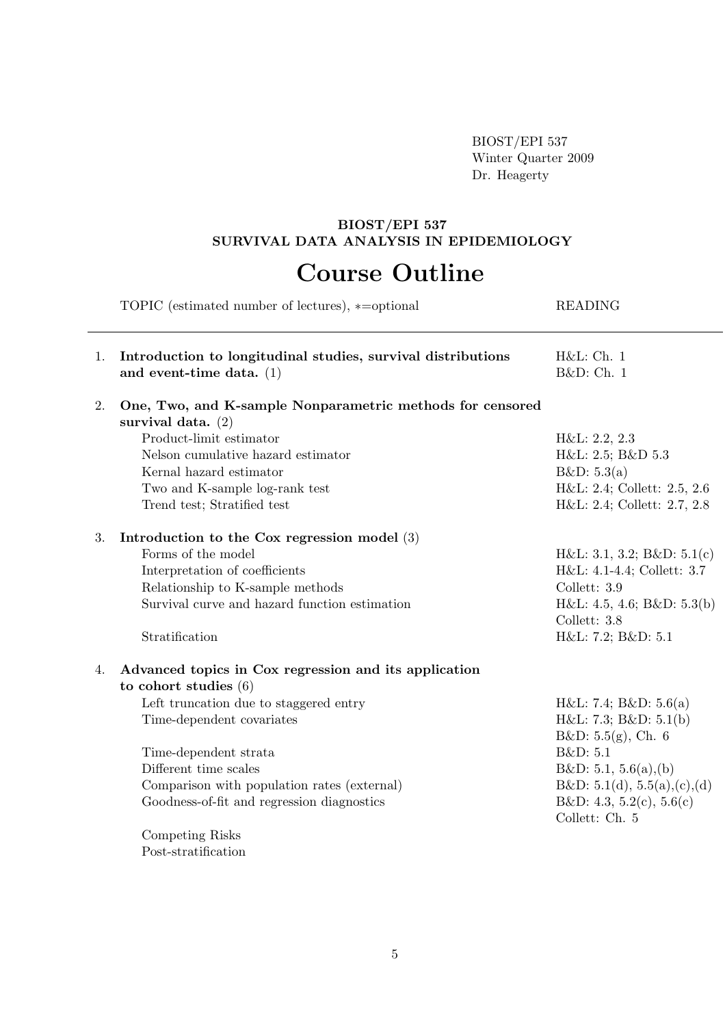BIOST/EPI 537 Winter Quarter 2009 Dr. Heagerty

#### BIOST/EPI 537 SURVIVAL DATA ANALYSIS IN EPIDEMIOLOGY

# Course Outline

|    | TOPIC (estimated number of lectures), *= optional                                          | <b>READING</b>                             |
|----|--------------------------------------------------------------------------------------------|--------------------------------------------|
| 1. | Introduction to longitudinal studies, survival distributions<br>and event-time data. $(1)$ | H&L:Ch. 1<br>B&D: Ch. 1                    |
| 2. | One, Two, and K-sample Nonparametric methods for censored<br>survival data. $(2)$          |                                            |
|    | Product-limit estimator                                                                    | H&L: 2.2, 2.3                              |
|    | Nelson cumulative hazard estimator                                                         | H&L: 2.5; B&D 5.3                          |
|    | Kernal hazard estimator                                                                    | B&D: 5.3(a)                                |
|    | Two and K-sample log-rank test                                                             | H&L: 2.4; Collett: 2.5, 2.6                |
|    | Trend test; Stratified test                                                                | H&L: 2.4; Collett: 2.7, 2.8                |
| 3. | Introduction to the Cox regression model $(3)$                                             |                                            |
|    | Forms of the model                                                                         | H&L: 3.1, 3.2; B&D: 5.1(c)                 |
|    | Interpretation of coefficients                                                             | H&L: 4.1-4.4; Collett: 3.7                 |
|    | Relationship to K-sample methods                                                           | Collett: 3.9                               |
|    | Survival curve and hazard function estimation                                              | H&L: 4.5, 4.6; B&D: 5.3(b)<br>Collett: 3.8 |
|    | Stratification                                                                             | H&L: 7.2; B&D: 5.1                         |
| 4. | Advanced topics in Cox regression and its application                                      |                                            |
|    | to cohort studies $(6)$                                                                    |                                            |
|    | Left truncation due to staggered entry                                                     | H&L: 7.4; B&D: 5.6(a)                      |
|    | Time-dependent covariates                                                                  | H&L: 7.3; B&D: 5.1(b)                      |
|    |                                                                                            | B&D: 5.5(g), Ch. 6                         |
|    | Time-dependent strata                                                                      | B&D: 5.1                                   |
|    | Different time scales                                                                      | B&D: 5.1, 5.6(a),(b)                       |
|    | Comparison with population rates (external)                                                | B&D: 5.1(d), 5.5(a),(c),(d)                |
|    | Goodness-of-fit and regression diagnostics                                                 | B&D: 4.3, 5.2(c), 5.6(c)<br>Collett: Ch. 5 |
|    | Competing Risks                                                                            |                                            |
|    | Post-stratification                                                                        |                                            |